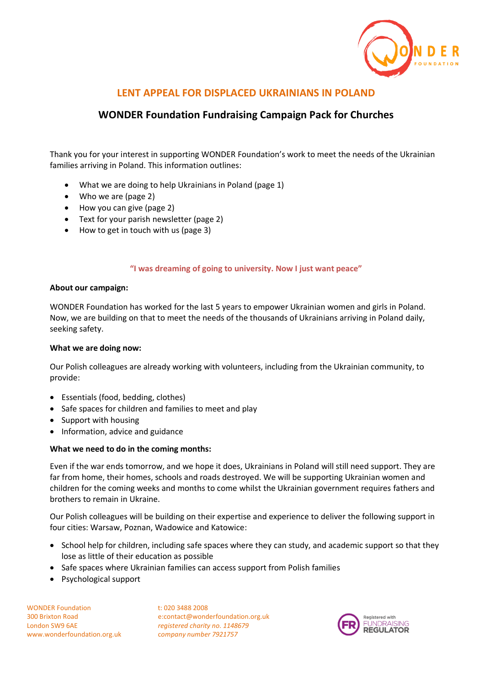

# **LENT APPEAL FOR DISPLACED UKRAINIANS IN POLAND**

# **WONDER Foundation Fundraising Campaign Pack for Churches**

Thank you for your interest in supporting WONDER Foundation's work to meet the needs of the Ukrainian families arriving in Poland. This information outlines:

- What we are doing to help Ukrainians in Poland (page 1)
- Who we are (page 2)
- How you can give (page 2)
- Text for your parish newsletter (page 2)
- How to get in touch with us (page 3)

#### **"I was dreaming of going to university. Now I just want peace"**

#### **About our campaign:**

WONDER Foundation has worked for the last 5 years to empower Ukrainian women and girls in Poland. Now, we are building on that to meet the needs of the thousands of Ukrainians arriving in Poland daily, seeking safety.

#### **What we are doing now:**

Our Polish colleagues are already working with volunteers, including from the Ukrainian community, to provide:

- Essentials (food, bedding, clothes)
- Safe spaces for children and families to meet and play
- Support with housing
- Information, advice and guidance

#### **What we need to do in the coming months:**

Even if the war ends tomorrow, and we hope it does, Ukrainians in Poland will still need support. They are far from home, their homes, schools and roads destroyed. We will be supporting Ukrainian women and children for the coming weeks and months to come whilst the Ukrainian government requires fathers and brothers to remain in Ukraine.

Our Polish colleagues will be building on their expertise and experience to deliver the following support in four cities: Warsaw, Poznan, Wadowice and Katowice:

- School help for children, including safe spaces where they can study, and academic support so that they lose as little of their education as possible
- Safe spaces where Ukrainian families can access support from Polish families
- Psychological support

WONDER Foundation t: 020 3488 2008 London SW9 6AE *registered charity no. 1148679* www.wonderfoundation.org.uk c*ompany number 7921757*

300 Brixton Road e:contact@wonderfoundation.org.uk

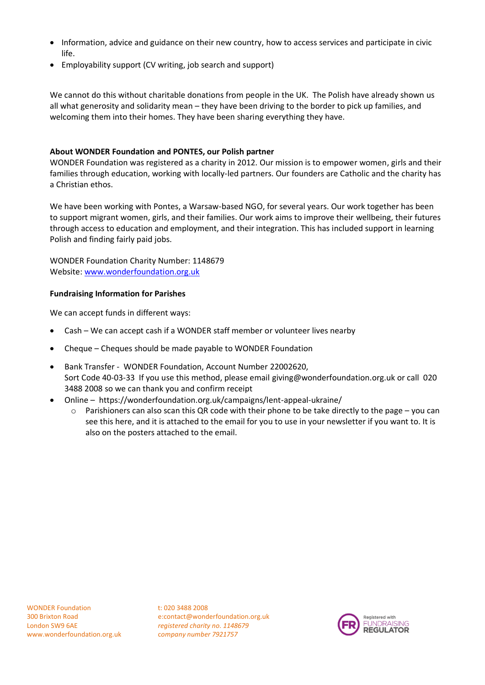- Information, advice and guidance on their new country, how to access services and participate in civic life.
- Employability support (CV writing, job search and support)

We cannot do this without charitable donations from people in the UK. The Polish have already shown us all what generosity and solidarity mean – they have been driving to the border to pick up families, and welcoming them into their homes. They have been sharing everything they have.

# **About WONDER Foundation and PONTES, our Polish partner**

WONDER Foundation was registered as a charity in 2012. Our mission is to empower women, girls and their families through education, working with locally-led partners. Our founders are Catholic and the charity has a Christian ethos.

We have been working with Pontes, a Warsaw-based NGO, for several years. Our work together has been to support migrant women, girls, and their families. Our work aims to improve their wellbeing, their futures through access to education and employment, and their integration. This has included support in learning Polish and finding fairly paid jobs.

WONDER Foundation Charity Number: 1148679 Website: [www.wonderfoundation.org.uk](http://www.wonderfoundation.org.uk/)

#### **Fundraising Information for Parishes**

We can accept funds in different ways:

- Cash We can accept cash if a WONDER staff member or volunteer lives nearby
- Cheque Cheques should be made payable to WONDER Foundation
- Bank Transfer WONDER Foundation, Account Number 22002620, Sort Code 40-03-33 If you use this method, please email [giving@wonderfoundation.org.uk](mailto:giving@wonderfoundation.org.uk) or call 020 3488 2008 so we can thank you and confirm receipt
- Online https://wonderfoundation.org.uk/campaigns/lent-appeal-ukraine/
	- Parishioners can also scan this QR code with their phone to be take directly to the page you can see this here, and it is attached to the email for you to use in your newsletter if you want to. It is also on the posters attached to the email.

300 Brixton Road e:contact@wonderfoundation.org.uk